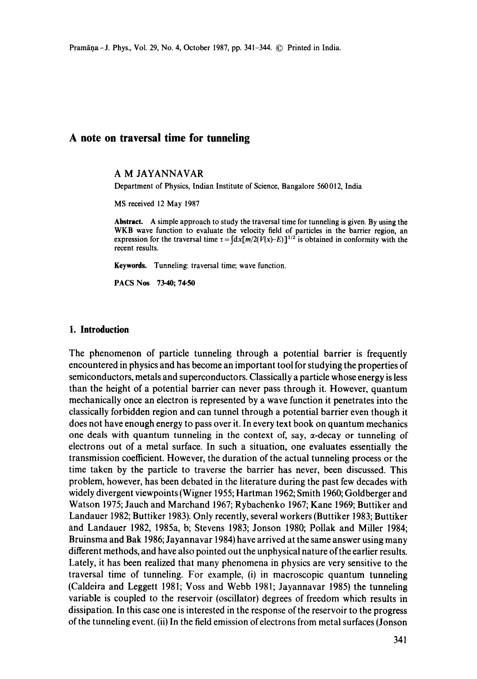# **A note on traversal time for tunneling**

#### A M JAYANNAVAR

Department of Physics, Indian Institute of Science, Bangalore 560012, India

MS received 12May 1987

**Abstract.** A simple approach to study the traversal time for tunneling is given. By using **the**  WKB wave function to evaluate the velocity field of particles in the barrier region, an expression for the traversal time  $\tau = \int dx[m/2(V(x)-E)]^{1/2}$  is obtained in conformity with the recent results.

**Keywords.** Tunneling: traversal time; wave function.

PACS Nos 73.40; 74.50

#### **I. Introduction**

The phenomenon of particle tunneling through a potential barrier is frequently encountered in physics and has become an important tool for studying the properties of semiconductors, metals and superconductors. Classically a particle whose energy is less than the height of a potential barrier can never pass through it. However, quantum mechanically once an electron is represented by a wave function it penetrates into the classically forbidden region and can tunnel through a potential barrier even though it does not have enough energy to pass over it. In every text book on quantum mechanics one deals with quantum tunneling in the context of, say,  $\alpha$ -decay or tunneling of electrons out of a metal surface. In such a situation, one evaluates essentially the transmission coefficient. However, the duration of the actual tunneling process or the time taken by the particle to traverse the barrier has never, been discussed. This problem, however, has been debated in the literature during the past few decades with widely divergent viewpoints (Wigner 1955; Hartman 1962; Smith 1960; Goldberger and Watson 1975; Jauch and Marchand 1967; Rybachenko 1967; Kane 1969; Buttiker and Landauer 1982; Buttiker 1983). Only recently, several workers (Buttiker 1983; Buttiker and Landauer 1982, 1985a, b; Stevens 1983; Jonson 1980; Pollak and Miller 1984; Bruinsma and Bak 1986; Jayannavar 1984) have arrived at the same answer using many different methods, and have also pointed out the unphysical nature of the earlier results. Lately, it has been realized that many phenomena in physics are very sensitive to the traversal time of tunneling. For example, (i) in macroscopic quantum tunneling (Caldeira and Leggett 1981; Voss and Webb 1981; Jayannavar 1985) the tunneling variable is coupled to the reservoir (oscillator) degrees of freedom which results in dissipation. In this case one is interested in the response of the reservoir to the progress of the tunneling event. (ii) In the field emission of electrons from metal surfaces (Jonson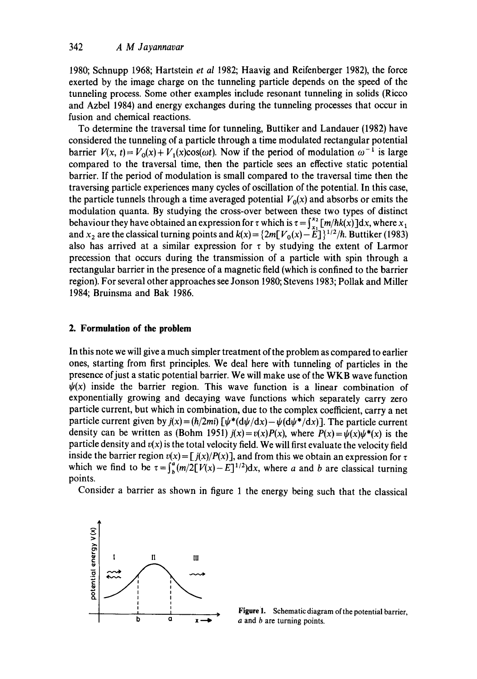1980; Schnupp 1968; Hartstein *et al* 1982; Haavig and Reifenberger 1982), the force exerted by the image charge on the tunneling particle depends on the speed of the tunneling process. Some other examples include resonant tunneling in solids (Ricco and Azbel 1984) and energy exchanges during the tunneling processes that occur in fusion and chemical reactions.

To determine the traversal time for tunneling, Buttiker and Landauer (1982) have considered the tunneling of a particle through a time modulated rectangular potential barrier  $V(x, t) = V_0(x) + V_1(x) \cos(\omega t)$ . Now if the period of modulation  $\omega^{-1}$  is large compared to the traversal time, then the particle sees an effective static potential barrier. If the period of modulation is small compared to the traversal time then the traversing particle experiences many cycles of oscillation of the potential. In this case, the particle tunnels through a time averaged potential  $V_0(x)$  and absorbs or emits the modulation quanta. By studying the cross-over between these two types of distinct behaviour they have obtained an expression for  $\tau$  which is  $\tau = \int_{x_1}^{x_2} [m/\hbar k(x)] dx$ , where  $x_1$ and  $x_2$  are the classical turning points and  $k(x) = \{2m[V_0(x) - \hat{E}]\}^{1/2}/\hbar$ . Buttiker (1983) also has arrived at a similar expression for  $\tau$  by studying the extent of Larmor precession that occurs during the transmission of a particle with spin through a rectangular barrier in the presence of a magnetic field (which is confined to the barrier region). For several other approaches see Jonson 1980; Stevens 1983; Pollak and Miller 1984; Bruinsma and Bak 1986.

## **2. Formulation of the problem**

In this note we will give a much simpler treatment of the problem as compared to earlier ones, starting from first principles. We deal here with tunneling of particles in the presence of just a static potential barrier. We will make use of the WKB wave function  $\psi(x)$  inside the barrier region. This wave function is a linear combination of exponentially growing and decaying wave functions which separately carry zero particle current, but which in combination, due to the complex coefficient, carry a net particle current given by  $j(x) = (\hbar/2mi)$   $[\psi^*(d\psi/dx) - \psi(d\psi^*/dx)]$ . The particle current density can be written as (Bohm 1951)  $j(x) = v(x)P(x)$ , where  $P(x) = \psi(x)\psi^*(x)$  is the particle density and  $v(x)$  is the total velocity field. We will first evaluate the velocity field inside the barrier region  $v(x) = [j(x)/P(x)]$ , and from this we obtain an expression for  $\tau$ which we find to be  $\tau = \int_{b}^{a} (m/2[V(x)-E]^{1/2})dx$ , where a and b are classical turning points.

Consider a barrier as shown in figure 1 the energy being such that the classical



 $\frac{1}{a}$  **Figure 1.** Schematic diagram of the potential barrier, a and b are turning points.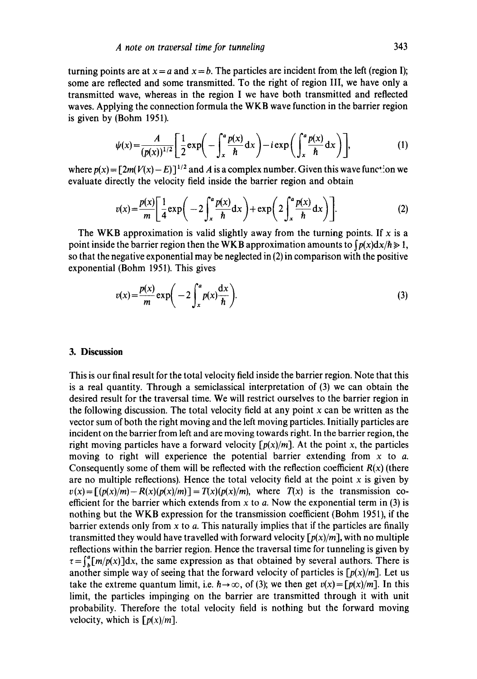turning points are at  $x = a$  and  $x = b$ . The particles are incident from the left (region I); some are reflected and some transmitted. To the right of region III, we have only a transmitted wave, whereas in the region I we have both transmitted and reflected waves. Applying the connection formula the WKB wave function in the barrier region is given by (Bohm 1951).

$$
\psi(x) = \frac{A}{(p(x))^{1/2}} \left[ \frac{1}{2} \exp\left(-\int_x^a \frac{p(x)}{\hbar} dx\right) - i \exp\left(\int_x^a \frac{p(x)}{\hbar} dx\right) \right],\tag{1}
$$

where  $p(x) = [2m(V(x) - E)]^{1/2}$  and A is a complex number. Given this wave function we evaluate directly the velocity field inside the barrier region and obtain

$$
v(x) = \frac{p(x)}{m} \left[ \frac{1}{4} \exp\left(-2 \int_x^a \frac{p(x)}{h} dx\right) + \exp\left(2 \int_x^a \frac{p(x)}{h} dx\right) \right].
$$
 (2)

The WKB approximation is valid slightly away from the turning points. If x is a point inside the barrier region then the WKB approximation amounts to  $\int p(x) dx/h \ge 1$ , so that the negative exponential may be neglected in  $(2)$  in comparison with the positive exponential (Bohm 1951). This gives

$$
v(x) = \frac{p(x)}{m} \exp\bigg(-2\int_{x}^{a} p(x) \frac{dx}{\hbar}\bigg). \tag{3}
$$

## **3. Discussion**

This is our final result for the total velocity field inside the barrier region. Note that this is a real quantity. Through a semiclassical interpretation of (3) we can obtain the desired result for the traversal time. We will restrict ourselves to the barrier region in the following discussion. The total velocity field at any point  $x$  can be written as the vector sum of both the right moving and the left moving particles. Initially particles are incident on the barrier from left and are moving towards right. In the barrier region, the right moving particles have a forward velocity  $[p(x)/m]$ . At the point x, the particles moving to right will experience the potential barrier extending from  $x$  to  $a$ . Consequently some of them will be reflected with the reflection coefficient  $R(x)$  (there are no multiple reflections). Hence the total velocity field at the point  $x$  is given by  $v(x) = [(p(x)/m) - R(x)(p(x)/m)] = T(x)(p(x)/m)$ , where  $T(x)$  is the transmission coefficient for the barrier which extends from  $x$  to  $a$ . Now the exponential term in (3) is nothing but the WKB expression for the transmission coefficient (Bohm 1951), if the barrier extends only from  $x$  to  $a$ . This naturally implies that if the particles are finally transmitted they would have travelled with forward velocity  $\lceil p(x)/m \rceil$ , with no multiple reflections within the barrier region. Hence the traversal time for tunneling is given by  $\tau=\int_{b}^{a}[m/p(x)]dx$ , the same expression as that obtained by several authors. There is another simple way of seeing that the forward velocity of particles is  $[p(x)/m]$ . Let us take the extreme quantum limit, i.e.  $h \rightarrow \infty$ , of (3); we then get  $v(x) = \int p(x)/m$ . In this limit, the particles impinging on the barrier are transmitted through it with unit probability. Therefore the total velocity field is nothing but the forward moving velocity, which is  $\lceil p(x)/m \rceil$ .